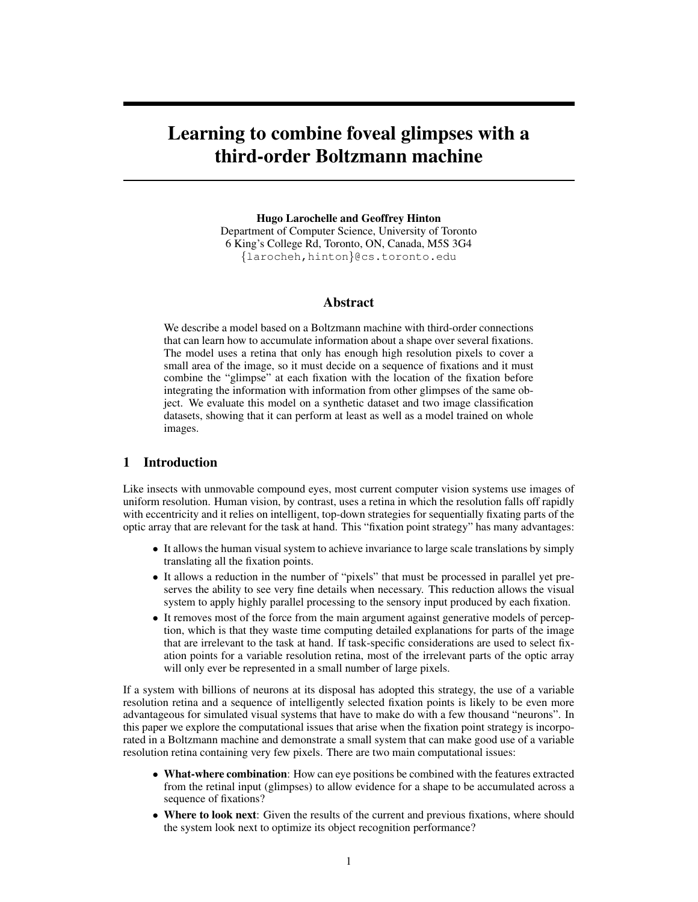# Learning to combine foveal glimpses with a third-order Boltzmann machine

Hugo Larochelle and Geoffrey Hinton Department of Computer Science, University of Toronto 6 King's College Rd, Toronto, ON, Canada, M5S 3G4 {larocheh,hinton}@cs.toronto.edu

## Abstract

We describe a model based on a Boltzmann machine with third-order connections that can learn how to accumulate information about a shape over several fixations. The model uses a retina that only has enough high resolution pixels to cover a small area of the image, so it must decide on a sequence of fixations and it must combine the "glimpse" at each fixation with the location of the fixation before integrating the information with information from other glimpses of the same object. We evaluate this model on a synthetic dataset and two image classification datasets, showing that it can perform at least as well as a model trained on whole images.

## 1 Introduction

Like insects with unmovable compound eyes, most current computer vision systems use images of uniform resolution. Human vision, by contrast, uses a retina in which the resolution falls off rapidly with eccentricity and it relies on intelligent, top-down strategies for sequentially fixating parts of the optic array that are relevant for the task at hand. This "fixation point strategy" has many advantages:

- It allows the human visual system to achieve invariance to large scale translations by simply translating all the fixation points.
- It allows a reduction in the number of "pixels" that must be processed in parallel yet preserves the ability to see very fine details when necessary. This reduction allows the visual system to apply highly parallel processing to the sensory input produced by each fixation.
- It removes most of the force from the main argument against generative models of perception, which is that they waste time computing detailed explanations for parts of the image that are irrelevant to the task at hand. If task-specific considerations are used to select fixation points for a variable resolution retina, most of the irrelevant parts of the optic array will only ever be represented in a small number of large pixels.

If a system with billions of neurons at its disposal has adopted this strategy, the use of a variable resolution retina and a sequence of intelligently selected fixation points is likely to be even more advantageous for simulated visual systems that have to make do with a few thousand "neurons". In this paper we explore the computational issues that arise when the fixation point strategy is incorporated in a Boltzmann machine and demonstrate a small system that can make good use of a variable resolution retina containing very few pixels. There are two main computational issues:

- What-where combination: How can eye positions be combined with the features extracted from the retinal input (glimpses) to allow evidence for a shape to be accumulated across a sequence of fixations?
- Where to look next: Given the results of the current and previous fixations, where should the system look next to optimize its object recognition performance?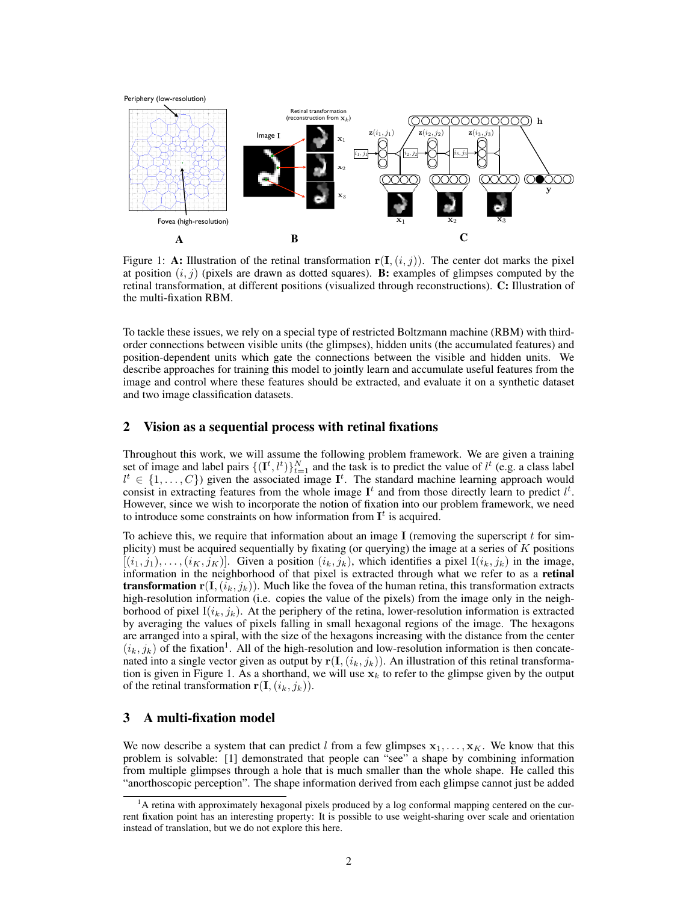

Figure 1: A: Illustration of the retinal transformation  $r(I, (i, j))$ . The center dot marks the pixel at position  $(i, j)$  (pixels are drawn as dotted squares). **B:** examples of glimpses computed by the retinal transformation, at different positions (visualized through reconstructions). C: Illustration of the multi-fixation RBM.

To tackle these issues, we rely on a special type of restricted Boltzmann machine (RBM) with thirdorder connections between visible units (the glimpses), hidden units (the accumulated features) and position-dependent units which gate the connections between the visible and hidden units. We describe approaches for training this model to jointly learn and accumulate useful features from the image and control where these features should be extracted, and evaluate it on a synthetic dataset and two image classification datasets.

## 2 Vision as a sequential process with retinal fixations

Throughout this work, we will assume the following problem framework. We are given a training set of image and label pairs  $\{(\mathbf{I}^t, l^t)\}_{t=1}^N$  and the task is to predict the value of  $l^t$  (e.g. a class label  $l^t \in \{1, \ldots, C\}$  given the associated image  $\mathbf{I}^t$ . The standard machine learning approach would consist in extracting features from the whole image  $I<sup>t</sup>$  and from those directly learn to predict  $l<sup>t</sup>$ . However, since we wish to incorporate the notion of fixation into our problem framework, we need to introduce some constraints on how information from  $I<sup>t</sup>$  is acquired.

To achieve this, we require that information about an image  $\bf{I}$  (removing the superscript t for simplicity) must be acquired sequentially by fixating (or querying) the image at a series of  $K$  positions  $[(i_1, j_1), \ldots, (i_K, j_K)]$ . Given a position  $(i_k, j_k)$ , which identifies a pixel  $I(i_k, j_k)$  in the image, information in the neighborhood of that pixel is extracted through what we refer to as a retinal **transformation**  $\mathbf{r}(\mathbf{I},(i_k, j_k))$ . Much like the fovea of the human retina, this transformation extracts high-resolution information (i.e. copies the value of the pixels) from the image only in the neighborhood of pixel  $I(i_k, j_k)$ . At the periphery of the retina, lower-resolution information is extracted by averaging the values of pixels falling in small hexagonal regions of the image. The hexagons are arranged into a spiral, with the size of the hexagons increasing with the distance from the center  $(i_k, j_k)$  of the fixation<sup>1</sup>. All of the high-resolution and low-resolution information is then concatenated into a single vector given as output by  $r(I,(i_k, j_k))$ . An illustration of this retinal transformation is given in Figure 1. As a shorthand, we will use  $x_k$  to refer to the glimpse given by the output of the retinal transformation  $\mathbf{r}(\mathbf{I},(i_k,j_k)).$ 

## 3 A multi-fixation model

We now describe a system that can predict l from a few glimpses  $x_1, \ldots, x_K$ . We know that this problem is solvable: [1] demonstrated that people can "see" a shape by combining information from multiple glimpses through a hole that is much smaller than the whole shape. He called this "anorthoscopic perception". The shape information derived from each glimpse cannot just be added

<sup>1</sup>A retina with approximately hexagonal pixels produced by a log conformal mapping centered on the current fixation point has an interesting property: It is possible to use weight-sharing over scale and orientation instead of translation, but we do not explore this here.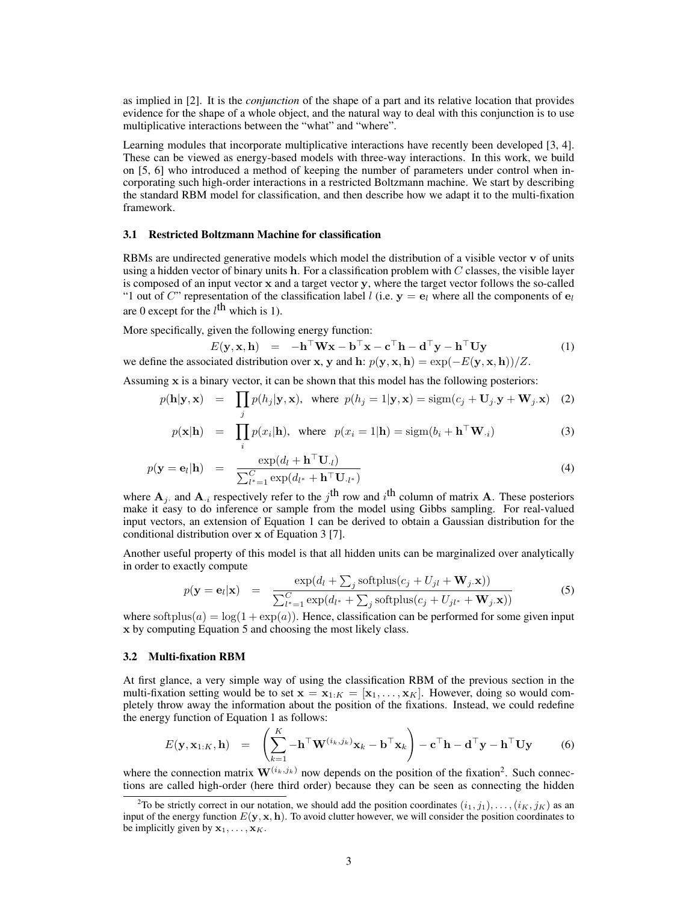as implied in [2]. It is the *conjunction* of the shape of a part and its relative location that provides evidence for the shape of a whole object, and the natural way to deal with this conjunction is to use multiplicative interactions between the "what" and "where".

Learning modules that incorporate multiplicative interactions have recently been developed [3, 4]. These can be viewed as energy-based models with three-way interactions. In this work, we build on [5, 6] who introduced a method of keeping the number of parameters under control when incorporating such high-order interactions in a restricted Boltzmann machine. We start by describing the standard RBM model for classification, and then describe how we adapt it to the multi-fixation framework.

#### 3.1 Restricted Boltzmann Machine for classification

RBMs are undirected generative models which model the distribution of a visible vector v of units using a hidden vector of binary units h. For a classification problem with  $C$  classes, the visible layer is composed of an input vector x and a target vector y, where the target vector follows the so-called "1 out of C" representation of the classification label l (i.e.  $y = e_l$  where all the components of  $e_l$ ) are 0 except for the  $l^{\text{th}}$  which is 1).

More specifically, given the following energy function:

$$
E(\mathbf{y}, \mathbf{x}, \mathbf{h}) = -\mathbf{h}^{\top} \mathbf{W} \mathbf{x} - \mathbf{b}^{\top} \mathbf{x} - \mathbf{c}^{\top} \mathbf{h} - \mathbf{d}^{\top} \mathbf{y} - \mathbf{h}^{\top} \mathbf{U} \mathbf{y}
$$
(1)

we define the associated distribution over x, y and h:  $p(y, x, h) = exp(-E(y, x, h))/Z$ .

Assuming  $x$  is a binary vector, it can be shown that this model has the following posteriors:

$$
p(\mathbf{h}|\mathbf{y}, \mathbf{x}) = \prod_{j} p(h_j|\mathbf{y}, \mathbf{x}), \text{ where } p(h_j = 1|\mathbf{y}, \mathbf{x}) = \text{sigm}(c_j + \mathbf{U}_j \cdot \mathbf{y} + \mathbf{W}_j \cdot \mathbf{x}) \quad (2)
$$

$$
p(\mathbf{x}|\mathbf{h}) = \prod_{i} p(x_i|\mathbf{h}), \text{ where } p(x_i = 1|\mathbf{h}) = \text{sigm}(b_i + \mathbf{h}^\top \mathbf{W}_{\cdot i})
$$
 (3)

$$
p(\mathbf{y} = \mathbf{e}_l | \mathbf{h}) = \frac{\exp(d_l + \mathbf{h}^\top \mathbf{U}_l)}{\sum_{l^* = 1}^C \exp(d_{l^*} + \mathbf{h}^\top \mathbf{U}_{l^*})}
$$
(4)

where  $A_j$  and  $A_{i}$  respectively refer to the  $j^{\text{th}}$  row and  $i^{\text{th}}$  column of matrix A. These posteriors make it easy to do inference or sample from the model using Gibbs sampling. For real-valued input vectors, an extension of Equation 1 can be derived to obtain a Gaussian distribution for the conditional distribution over x of Equation 3 [7].

Another useful property of this model is that all hidden units can be marginalized over analytically in order to exactly compute

$$
p(\mathbf{y} = \mathbf{e}_l|\mathbf{x}) = \frac{\exp(d_l + \sum_j \text{softplus}(c_j + U_{jl} + \mathbf{W}_j.\mathbf{x}))}{\sum_{l^* = 1}^{C} \exp(d_{l^*} + \sum_j \text{softplus}(c_j + U_{jl^*} + \mathbf{W}_j.\mathbf{x}))}
$$
(5)

where softplus(a) =  $\log(1 + \exp(a))$ . Hence, classification can be performed for some given input x by computing Equation 5 and choosing the most likely class.

#### 3.2 Multi-fixation RBM

At first glance, a very simple way of using the classification RBM of the previous section in the multi-fixation setting would be to set  $\mathbf{x} = \mathbf{x}_{1:K} = [\mathbf{x}_1, \dots, \mathbf{x}_K]$ . However, doing so would completely throw away the information about the position of the fixations. Instead, we could redefine the energy function of Equation 1 as follows:

$$
E(\mathbf{y}, \mathbf{x}_{1:K}, \mathbf{h}) = \left( \sum_{k=1}^{K} -\mathbf{h}^{\top} \mathbf{W}^{(i_k, j_k)} \mathbf{x}_k - \mathbf{b}^{\top} \mathbf{x}_k \right) - \mathbf{c}^{\top} \mathbf{h} - \mathbf{d}^{\top} \mathbf{y} - \mathbf{h}^{\top} \mathbf{U} \mathbf{y}
$$
(6)

where the connection matrix  $\mathbf{W}^{(i_k,j_k)}$  now depends on the position of the fixation<sup>2</sup>. Such connections are called high-order (here third order) because they can be seen as connecting the hidden

<sup>&</sup>lt;sup>2</sup>To be strictly correct in our notation, we should add the position coordinates  $(i_1, j_1), \ldots, (i_K, j_K)$  as an input of the energy function  $E(y, x, h)$ . To avoid clutter however, we will consider the position coordinates to be implicitly given by  $x_1, \ldots, x_K$ .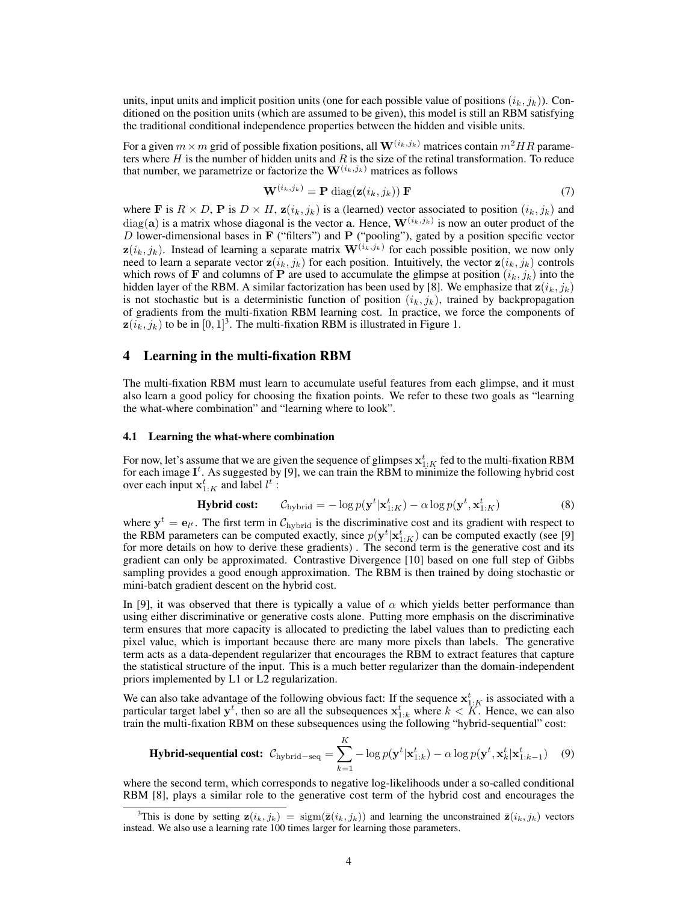units, input units and implicit position units (one for each possible value of positions  $(i_k, j_k)$ ). Conditioned on the position units (which are assumed to be given), this model is still an RBM satisfying the traditional conditional independence properties between the hidden and visible units.

For a given  $m \times m$  grid of possible fixation positions, all  $\mathbf{W}^{(i_k,j_k)}$  matrices contain  $m^2HR$  parameters where  $H$  is the number of hidden units and  $R$  is the size of the retinal transformation. To reduce that number, we parametrize or factorize the  $\mathbf{W}^{(i_k,j_k)}$  matrices as follows

$$
\mathbf{W}^{(i_k,j_k)} = \mathbf{P} \text{ diag}(\mathbf{z}(i_k,j_k)) \mathbf{F} \tag{7}
$$

where **F** is  $R \times D$ , **P** is  $D \times H$ ,  $\mathbf{z}(i_k, j_k)$  is a (learned) vector associated to position  $(i_k, j_k)$  and  $diag(a)$  is a matrix whose diagonal is the vector a. Hence,  $\mathbf{W}^{(i_k,j_k)}$  is now an outer product of the  $D$  lower-dimensional bases in  $\bf{F}$  ("filters") and  $\bf{P}$  ("pooling"), gated by a position specific vector  $z(i_k, j_k)$ . Instead of learning a separate matrix  $\mathbf{W}^{(i_k, j_k)}$  for each possible position, we now only need to learn a separate vector  $z(i_k, j_k)$  for each position. Intuitively, the vector  $z(i_k, j_k)$  controls which rows of F and columns of P are used to accumulate the glimpse at position  $(i_k, j_k)$  into the hidden layer of the RBM. A similar factorization has been used by [8]. We emphasize that  $z(i_k, j_k)$ is not stochastic but is a deterministic function of position  $(i_k, j_k)$ , trained by backpropagation of gradients from the multi-fixation RBM learning cost. In practice, we force the components of  $z(i_k, j_k)$  to be in  $[0, 1]^3$ . The multi-fixation RBM is illustrated in Figure 1.

## 4 Learning in the multi-fixation RBM

The multi-fixation RBM must learn to accumulate useful features from each glimpse, and it must also learn a good policy for choosing the fixation points. We refer to these two goals as "learning the what-where combination" and "learning where to look".

#### 4.1 Learning the what-where combination

For now, let's assume that we are given the sequence of glimpses  $x_{1:K}^t$  fed to the multi-fixation RBM for each image  $I^t$ . As suggested by [9], we can train the RBM to minimize the following hybrid cost over each input  $x_{1:K}^{t}$  and label  $l^{t}$ :

$$
\text{Hybrid cost:} \qquad \mathcal{C}_{\text{hybrid}} = -\log p(\mathbf{y}^t | \mathbf{x}_{1:K}^t) - \alpha \log p(\mathbf{y}^t, \mathbf{x}_{1:K}^t) \tag{8}
$$

where  $y^t = e_{l^t}$ . The first term in  $\mathcal{C}_{\text{hybrid}}$  is the discriminative cost and its gradient with respect to the RBM parameters can be computed exactly, since  $p(\mathbf{y}^t|\mathbf{x}_{1:K}^t)$  can be computed exactly (see [9] for more details on how to derive these gradients) . The second term is the generative cost and its gradient can only be approximated. Contrastive Divergence [10] based on one full step of Gibbs sampling provides a good enough approximation. The RBM is then trained by doing stochastic or mini-batch gradient descent on the hybrid cost.

In [9], it was observed that there is typically a value of  $\alpha$  which yields better performance than using either discriminative or generative costs alone. Putting more emphasis on the discriminative term ensures that more capacity is allocated to predicting the label values than to predicting each pixel value, which is important because there are many more pixels than labels. The generative term acts as a data-dependent regularizer that encourages the RBM to extract features that capture the statistical structure of the input. This is a much better regularizer than the domain-independent priors implemented by L1 or L2 regularization.

We can also take advantage of the following obvious fact: If the sequence  $x_{1:K}^t$  is associated with a particular target label  $y^t$ , then so are all the subsequences  $x_{1:k}^t$  where  $k < K$ . Hence, we can also train the multi-fixation RBM on these subsequences using the following "hybrid-sequential" cost:

$$
\textbf{Hybrid-sequential cost: } \mathcal{C}_{\text{hybrid-seq}} = \sum_{k=1}^{K} -\log p(\mathbf{y}^t | \mathbf{x}_{1:k}^t) - \alpha \log p(\mathbf{y}^t, \mathbf{x}_k^t | \mathbf{x}_{1:k-1}^t) \tag{9}
$$

where the second term, which corresponds to negative log-likelihoods under a so-called conditional RBM [8], plays a similar role to the generative cost term of the hybrid cost and encourages the

<sup>&</sup>lt;sup>3</sup>This is done by setting  $\mathbf{z}(i_k, j_k) = \text{sign}(\bar{\mathbf{z}}(i_k, j_k))$  and learning the unconstrained  $\bar{\mathbf{z}}(i_k, j_k)$  vectors instead. We also use a learning rate 100 times larger for learning those parameters.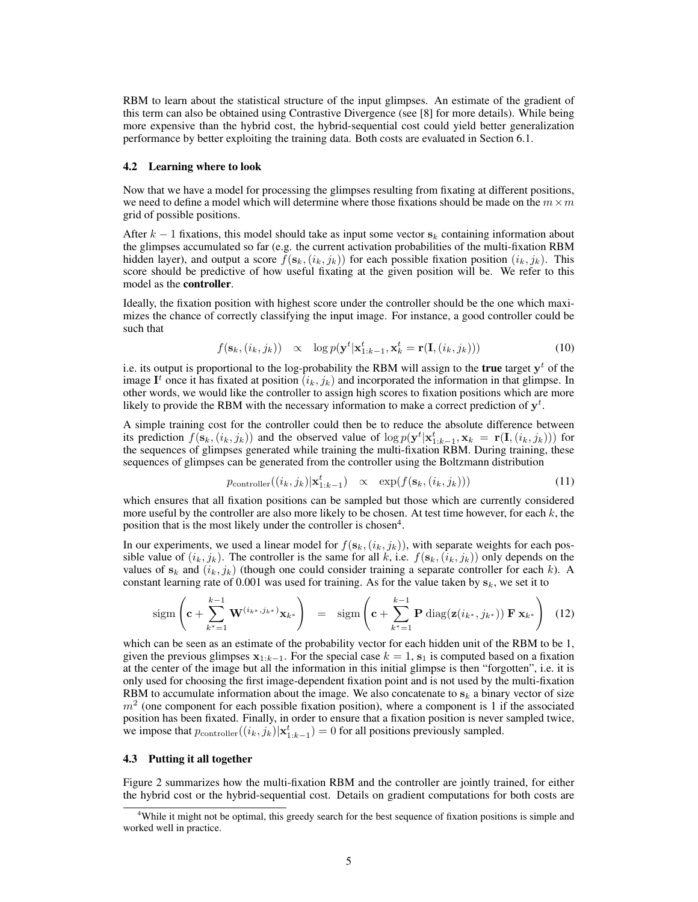RBM to learn about the statistical structure of the input glimpses. An estimate of the gradient of this term can also be obtained using Contrastive Divergence (see [8] for more details). While being more expensive than the hybrid cost, the hybrid-sequential cost could yield better generalization performance by better exploiting the training data. Both costs are evaluated in Section 6.1.

#### 4.2 Learning where to look

Now that we have a model for processing the glimpses resulting from fixating at different positions, we need to define a model which will determine where those fixations should be made on the  $m \times m$ grid of possible positions.

After  $k-1$  fixations, this model should take as input some vector  $s_k$  containing information about the glimpses accumulated so far (e.g. the current activation probabilities of the multi-fixation RBM hidden layer), and output a score  $f(s_k,(i_k,j_k))$  for each possible fixation position  $(i_k, j_k)$ . This score should be predictive of how useful fixating at the given position will be. We refer to this model as the controller.

Ideally, the fixation position with highest score under the controller should be the one which maximizes the chance of correctly classifying the input image. For instance, a good controller could be such that

$$
f(\mathbf{s}_k, (i_k, j_k)) \propto \log p(\mathbf{y}^t | \mathbf{x}_{1:k-1}^t, \mathbf{x}_k^t = \mathbf{r}(\mathbf{I}, (i_k, j_k)))
$$
(10)

i.e. its output is proportional to the log-probability the RBM will assign to the **true** target  $y<sup>t</sup>$  of the image  $I^t$  once it has fixated at position  $(i_k, j_k)$  and incorporated the information in that glimpse. In other words, we would like the controller to assign high scores to fixation positions which are more likely to provide the RBM with the necessary information to make a correct prediction of  $y<sup>t</sup>$ .

A simple training cost for the controller could then be to reduce the absolute difference between its prediction  $f(\mathbf{s}_k,(i_k,j_k))$  and the observed value of  $\log p(\mathbf{y}^t|\mathbf{x}_{1:k-1}^t,\mathbf{x}_k = \mathbf{r}(\mathbf{I},(i_k,j_k)))$  for the sequences of glimpses generated while training the multi-fixation RBM. During training, these sequences of glimpses can be generated from the controller using the Boltzmann distribution

$$
p_{\text{controller}}((i_k, j_k)|\mathbf{x}_{1:k-1}^t) \propto \exp(f(\mathbf{s}_k, (i_k, j_k))) \tag{11}
$$

which ensures that all fixation positions can be sampled but those which are currently considered more useful by the controller are also more likely to be chosen. At test time however, for each  $k$ , the position that is the most likely under the controller is chosen<sup>4</sup>.

In our experiments, we used a linear model for  $f(s_k,(i_k,j_k))$ , with separate weights for each possible value of  $(i_k, j_k)$ . The controller is the same for all k, i.e.  $f(\mathbf{s}_k, (i_k, j_k))$  only depends on the values of  $s_k$  and  $(i_k, j_k)$  (though one could consider training a separate controller for each k). A constant learning rate of 0.001 was used for training. As for the value taken by  $s_k$ , we set it to

$$
\operatorname{sigm}\left(\mathbf{c} + \sum_{k^*=1}^{k-1} \mathbf{W}^{(i_{k^*}, j_{k^*})} \mathbf{x}_{k^*}\right) = \operatorname{sigm}\left(\mathbf{c} + \sum_{k^*=1}^{k-1} \mathbf{P} \operatorname{diag}(\mathbf{z}(i_{k^*}, j_{k^*})) \mathbf{F} \mathbf{x}_{k^*}\right) (12)
$$

which can be seen as an estimate of the probability vector for each hidden unit of the RBM to be 1, given the previous glimpses  $x_{1:k-1}$ . For the special case  $k = 1$ ,  $s_1$  is computed based on a fixation at the center of the image but all the information in this initial glimpse is then "forgotten", i.e. it is only used for choosing the first image-dependent fixation point and is not used by the multi-fixation RBM to accumulate information about the image. We also concatenate to  $s_k$  a binary vector of size  $m<sup>2</sup>$  (one component for each possible fixation position), where a component is 1 if the associated position has been fixated. Finally, in order to ensure that a fixation position is never sampled twice, we impose that  $p_{\text{controller}}((i_k, j_k)|\mathbf{x}_{1:k-1}^t) = 0$  for all positions previously sampled.

#### 4.3 Putting it all together

Figure 2 summarizes how the multi-fixation RBM and the controller are jointly trained, for either the hybrid cost or the hybrid-sequential cost. Details on gradient computations for both costs are

<sup>&</sup>lt;sup>4</sup>While it might not be optimal, this greedy search for the best sequence of fixation positions is simple and worked well in practice.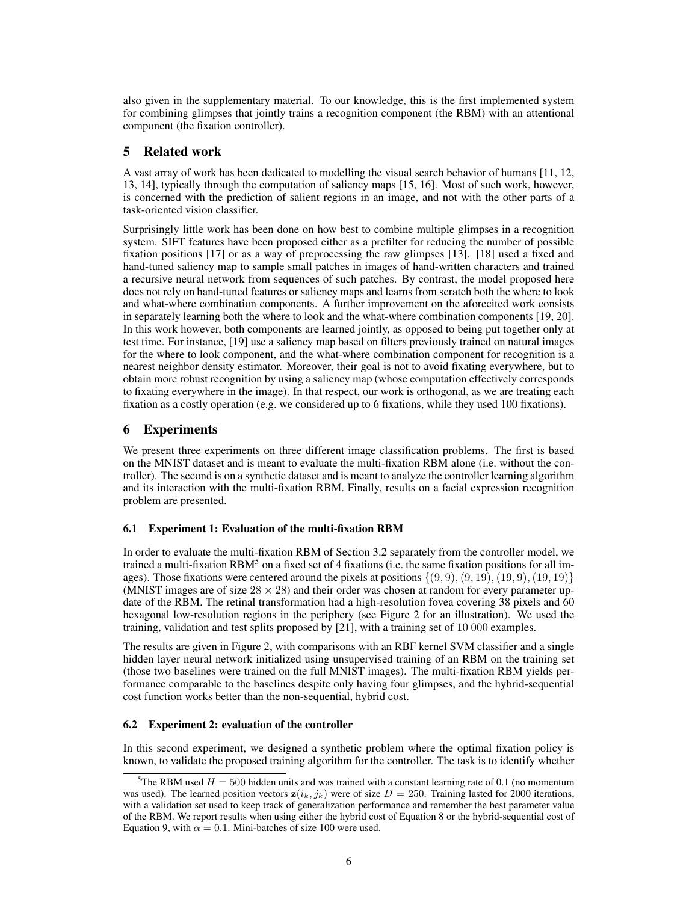also given in the supplementary material. To our knowledge, this is the first implemented system for combining glimpses that jointly trains a recognition component (the RBM) with an attentional component (the fixation controller).

## 5 Related work

A vast array of work has been dedicated to modelling the visual search behavior of humans [11, 12, 13, 14], typically through the computation of saliency maps [15, 16]. Most of such work, however, is concerned with the prediction of salient regions in an image, and not with the other parts of a task-oriented vision classifier.

Surprisingly little work has been done on how best to combine multiple glimpses in a recognition system. SIFT features have been proposed either as a prefilter for reducing the number of possible fixation positions [17] or as a way of preprocessing the raw glimpses [13]. [18] used a fixed and hand-tuned saliency map to sample small patches in images of hand-written characters and trained a recursive neural network from sequences of such patches. By contrast, the model proposed here does not rely on hand-tuned features or saliency maps and learns from scratch both the where to look and what-where combination components. A further improvement on the aforecited work consists in separately learning both the where to look and the what-where combination components [19, 20]. In this work however, both components are learned jointly, as opposed to being put together only at test time. For instance, [19] use a saliency map based on filters previously trained on natural images for the where to look component, and the what-where combination component for recognition is a nearest neighbor density estimator. Moreover, their goal is not to avoid fixating everywhere, but to obtain more robust recognition by using a saliency map (whose computation effectively corresponds to fixating everywhere in the image). In that respect, our work is orthogonal, as we are treating each fixation as a costly operation (e.g. we considered up to 6 fixations, while they used 100 fixations).

## 6 Experiments

We present three experiments on three different image classification problems. The first is based on the MNIST dataset and is meant to evaluate the multi-fixation RBM alone (i.e. without the controller). The second is on a synthetic dataset and is meant to analyze the controller learning algorithm and its interaction with the multi-fixation RBM. Finally, results on a facial expression recognition problem are presented.

## 6.1 Experiment 1: Evaluation of the multi-fixation RBM

In order to evaluate the multi-fixation RBM of Section 3.2 separately from the controller model, we trained a multi-fixation RBM<sup>5</sup> on a fixed set of 4 fixations (i.e. the same fixation positions for all images). Those fixations were centered around the pixels at positions  $\{(9, 9), (9, 19), (19, 9), (19, 19)\}\$ (MNIST images are of size  $28 \times 28$ ) and their order was chosen at random for every parameter update of the RBM. The retinal transformation had a high-resolution fovea covering 38 pixels and 60 hexagonal low-resolution regions in the periphery (see Figure 2 for an illustration). We used the training, validation and test splits proposed by [21], with a training set of 10 000 examples.

The results are given in Figure 2, with comparisons with an RBF kernel SVM classifier and a single hidden layer neural network initialized using unsupervised training of an RBM on the training set (those two baselines were trained on the full MNIST images). The multi-fixation RBM yields performance comparable to the baselines despite only having four glimpses, and the hybrid-sequential cost function works better than the non-sequential, hybrid cost.

## 6.2 Experiment 2: evaluation of the controller

In this second experiment, we designed a synthetic problem where the optimal fixation policy is known, to validate the proposed training algorithm for the controller. The task is to identify whether

<sup>&</sup>lt;sup>5</sup>The RBM used  $H = 500$  hidden units and was trained with a constant learning rate of 0.1 (no momentum was used). The learned position vectors  $z(i_k, j_k)$  were of size  $D = 250$ . Training lasted for 2000 iterations, with a validation set used to keep track of generalization performance and remember the best parameter value of the RBM. We report results when using either the hybrid cost of Equation 8 or the hybrid-sequential cost of Equation 9, with  $\alpha = 0.1$ . Mini-batches of size 100 were used.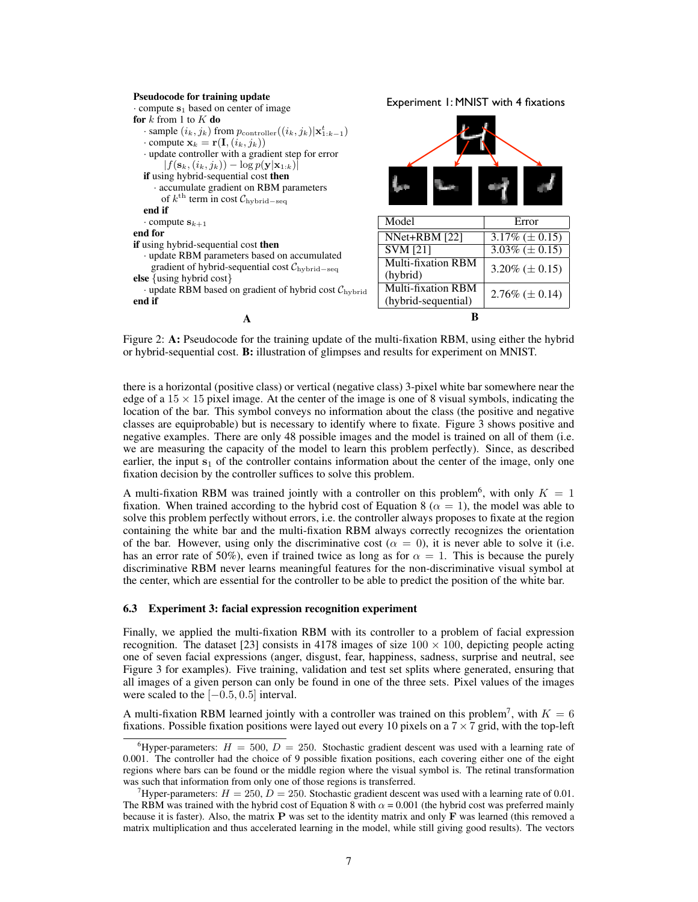#### Pseudocode for training update

 $\cdot$  compute  $s_1$  based on center of image for  $k$  from 1 to  $K$  do  $\cdot$  sample  $(i_k, j_k)$  from  $p_{\text{controller}}((i_k, j_k)|\mathbf{x}_{1:k-1}^t)$  $\cdot$  compute  $\mathbf{x}_k = \mathbf{r}(\mathbf{I}, (i_k, j_k))$ · update controller with a gradient step for error  $|f(\mathbf{s}_k, (i_k, j_k)) - \log p(\mathbf{y}|\mathbf{x}_{1:k})|$ if using hybrid-sequential cost then · accumulate gradient on RBM parameters of  $k^{\text{th}}$  term in cost  $\mathcal{C}_{\text{hybrid-seq}}$ end if  $\cdot$  compute  $s_{k+1}$ end for if using hybrid-sequential cost then · update RBM parameters based on accumulated gradient of hybrid-sequential cost Chybrid−seq else {using hybrid cost}  $\cdot$  update RBM based on gradient of hybrid cost  $\mathcal{C}_{\text{hybrid}}$ end if

A

Experiment 1: MNIST with 4 fixations

| Model                     | Error               |
|---------------------------|---------------------|
| NNet+RBM [22]             | $3.17\% (\pm 0.15)$ |
| <b>SVM [21]</b>           | $3.03\% (\pm 0.15)$ |
| <b>Multi-fixation RBM</b> | $3.20\% (\pm 0.15)$ |
| (hybrid)                  |                     |
| Multi-fixation RBM        | $2.76\% (\pm 0.14)$ |
| (hybrid-sequential)       |                     |
|                           |                     |

Figure 2: A: Pseudocode for the training update of the multi-fixation RBM, using either the hybrid or hybrid-sequential cost. B: illustration of glimpses and results for experiment on MNIST.

there is a horizontal (positive class) or vertical (negative class) 3-pixel white bar somewhere near the edge of a  $15 \times 15$  pixel image. At the center of the image is one of 8 visual symbols, indicating the location of the bar. This symbol conveys no information about the class (the positive and negative classes are equiprobable) but is necessary to identify where to fixate. Figure 3 shows positive and negative examples. There are only 48 possible images and the model is trained on all of them (i.e. we are measuring the capacity of the model to learn this problem perfectly). Since, as described earlier, the input  $s_1$  of the controller contains information about the center of the image, only one fixation decision by the controller suffices to solve this problem.

A multi-fixation RBM was trained jointly with a controller on this problem<sup>6</sup>, with only  $K = 1$ fixation. When trained according to the hybrid cost of Equation 8 ( $\alpha = 1$ ), the model was able to solve this problem perfectly without errors, i.e. the controller always proposes to fixate at the region containing the white bar and the multi-fixation RBM always correctly recognizes the orientation of the bar. However, using only the discriminative cost ( $\alpha = 0$ ), it is never able to solve it (i.e. has an error rate of 50%), even if trained twice as long as for  $\alpha = 1$ . This is because the purely discriminative RBM never learns meaningful features for the non-discriminative visual symbol at the center, which are essential for the controller to be able to predict the position of the white bar.

#### 6.3 Experiment 3: facial expression recognition experiment

Finally, we applied the multi-fixation RBM with its controller to a problem of facial expression recognition. The dataset [23] consists in 4178 images of size  $100 \times 100$ , depicting people acting one of seven facial expressions (anger, disgust, fear, happiness, sadness, surprise and neutral, see Figure 3 for examples). Five training, validation and test set splits where generated, ensuring that all images of a given person can only be found in one of the three sets. Pixel values of the images were scaled to the  $[-0.5, 0.5]$  interval.

A multi-fixation RBM learned jointly with a controller was trained on this problem<sup>7</sup>, with  $K = 6$ fixations. Possible fixation positions were layed out every 10 pixels on a  $7 \times 7$  grid, with the top-left

<sup>&</sup>lt;sup>6</sup>Hyper-parameters:  $H = 500$ ,  $D = 250$ . Stochastic gradient descent was used with a learning rate of 0.001. The controller had the choice of 9 possible fixation positions, each covering either one of the eight regions where bars can be found or the middle region where the visual symbol is. The retinal transformation was such that information from only one of those regions is transferred.

<sup>&</sup>lt;sup>7</sup>Hyper-parameters:  $H = 250$ ,  $D = 250$ . Stochastic gradient descent was used with a learning rate of 0.01. The RBM was trained with the hybrid cost of Equation 8 with  $\alpha$  = 0.001 (the hybrid cost was preferred mainly because it is faster). Also, the matrix P was set to the identity matrix and only F was learned (this removed a matrix multiplication and thus accelerated learning in the model, while still giving good results). The vectors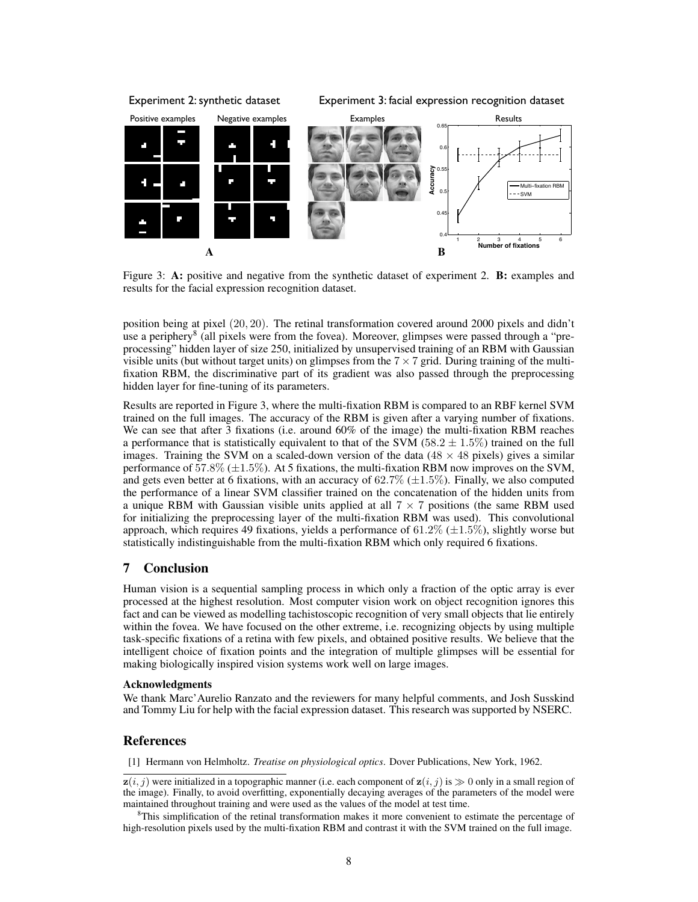

Figure 3: A: positive and negative from the synthetic dataset of experiment 2. B: examples and results for the facial expression recognition dataset.

position being at pixel (20, 20). The retinal transformation covered around 2000 pixels and didn't use a periphery<sup>8</sup> (all pixels were from the fovea). Moreover, glimpses were passed through a "preprocessing" hidden layer of size 250, initialized by unsupervised training of an RBM with Gaussian visible units (but without target units) on glimpses from the  $7 \times 7$  grid. During training of the multifixation RBM, the discriminative part of its gradient was also passed through the preprocessing hidden layer for fine-tuning of its parameters.

Results are reported in Figure 3, where the multi-fixation RBM is compared to an RBF kernel SVM trained on the full images. The accuracy of the RBM is given after a varying number of fixations. We can see that after 3 fixations (i.e. around 60% of the image) the multi-fixation RBM reaches a performance that is statistically equivalent to that of the SVM (58.2  $\pm$  1.5%) trained on the full images. Training the SVM on a scaled-down version of the data  $(48 \times 48 \text{ pixels})$  gives a similar performance of 57.8%  $(\pm 1.5\%)$ . At 5 fixations, the multi-fixation RBM now improves on the SVM, and gets even better at 6 fixations, with an accuracy of  $62.7\%$  ( $\pm 1.5\%$ ). Finally, we also computed the performance of a linear SVM classifier trained on the concatenation of the hidden units from a unique RBM with Gaussian visible units applied at all  $7 \times 7$  positions (the same RBM used for initializing the preprocessing layer of the multi-fixation RBM was used). This convolutional approach, which requires 49 fixations, yields a performance of  $61.2\%$  ( $\pm 1.5\%$ ), slightly worse but statistically indistinguishable from the multi-fixation RBM which only required 6 fixations.

## 7 Conclusion

Human vision is a sequential sampling process in which only a fraction of the optic array is ever processed at the highest resolution. Most computer vision work on object recognition ignores this fact and can be viewed as modelling tachistoscopic recognition of very small objects that lie entirely within the fovea. We have focused on the other extreme, i.e. recognizing objects by using multiple task-specific fixations of a retina with few pixels, and obtained positive results. We believe that the intelligent choice of fixation points and the integration of multiple glimpses will be essential for making biologically inspired vision systems work well on large images.

## Acknowledgments

We thank Marc'Aurelio Ranzato and the reviewers for many helpful comments, and Josh Susskind and Tommy Liu for help with the facial expression dataset. This research was supported by NSERC.

## **References**

[1] Hermann von Helmholtz. *Treatise on physiological optics*. Dover Publications, New York, 1962.

 $z(i, j)$  were initialized in a topographic manner (i.e. each component of  $z(i, j)$  is  $\gg 0$  only in a small region of the image). Finally, to avoid overfitting, exponentially decaying averages of the parameters of the model were maintained throughout training and were used as the values of the model at test time.

<sup>8</sup>This simplification of the retinal transformation makes it more convenient to estimate the percentage of high-resolution pixels used by the multi-fixation RBM and contrast it with the SVM trained on the full image.